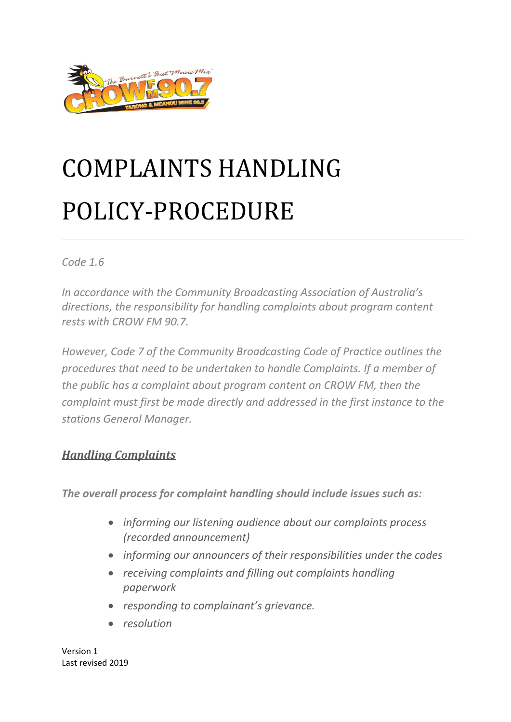

# COMPLAINTS HANDLING POLICY-PROCEDUR[E](http://www.coralcoastradio.net.au/images/images/Complaints_handeling_procedure.pdf#page=1)

#### *Code 1.6*

*In accordance with the Community Broadcasting Association of Australia's directions, the responsibility for handling complaints about program content rests with CROW FM 90.7.* 

*However, Code 7 of the Community Broadcasting Code of Practice outlines the procedures that need to be undertaken to handle Complaints. If a member of the public has a complaint about program content on CROW FM, then the complaint must first be made directly and addressed in the first instance to the stations General Manager.*

## *Handling Complaints*

*The overall process for complaint handling should include issues such as:*

- *informing our listening audience about our complaints process (recorded announcement)*
- *informing our announcers of their responsibilities under the codes*
- *receiving complaints and filling out complaints handling paperwork*
- *responding to complainant's grievance.*
- *resolution*

Version 1 Last revised 2019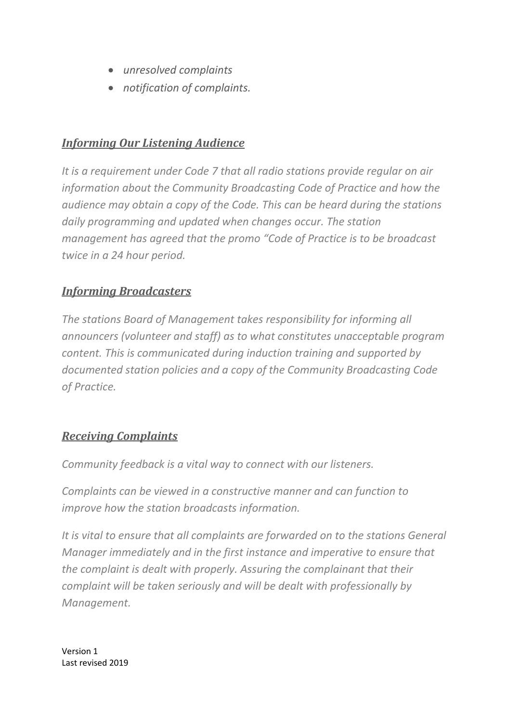- *unresolved complaints*
- *notification of complaints.*

## *Informing Our Listening Audience*

*It is a requirement under Code 7 that all radio stations provide regular on air information about the Community Broadcasting Code of Practice and how the audience may obtain a copy of the Code. This can be heard during the stations daily programming and updated when changes occur. The station management has agreed that the promo "Code of Practice is to be broadcast twice in a 24 hour period.*

## *Informing Broadcasters*

*The stations Board of Management takes responsibility for informing all announcers (volunteer and staff) as to what constitutes unacceptable program content. This is communicated during induction training and supported by documented station policies and a copy of the Community Broadcasting Code of Practice.* 

## *Receiving Complaints*

*Community feedback is a vital way to connect with our listeners.* 

*Complaints can be viewed in a constructive manner and can function to improve how the station broadcasts information.*

*It is vital to ensure that all complaints are forwarded on to the stations General Manager immediately and in the first instance and imperative to ensure that the complaint is dealt with properly. Assuring the complainant that their complaint will be taken seriously and will be dealt with professionally by Management.*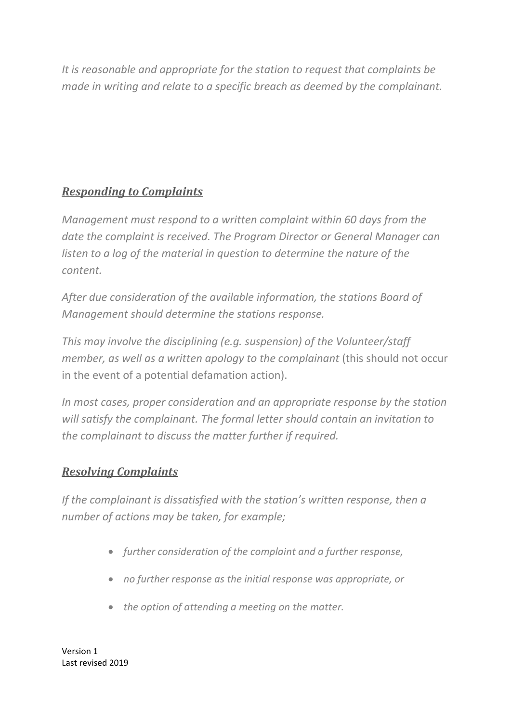*It is reasonable and appropriate for the station to request that complaints be made in writing and relate to a specific breach as deemed by the complainant.*

# *Responding to Complaints*

*Management must respond to a written complaint within 60 days from the date the complaint is received. The Program Director or General Manager can listen to a log of the material in question to determine the nature of the content.*

*After due consideration of the available information, the stations Board of Management should determine the stations response.* 

*This may involve the disciplining (e.g. suspension) of the Volunteer/staff member, as well as a written apology to the complainant (this should not occur* in the event of a potential defamation action).

*In most cases, proper consideration and an appropriate response by the station will satisfy the complainant. The formal letter should contain an invitation to the complainant to discuss the matter further if required.*

# *Resolving Complaints*

*If the complainant is dissatisfied with the station's written response, then a number of actions may be taken, for example;*

- *further consideration of the complaint and a further response,*
- *no further response as the initial response was appropriate, or*
- *the option of attending a meeting on the matter.*

Version 1 Last revised 2019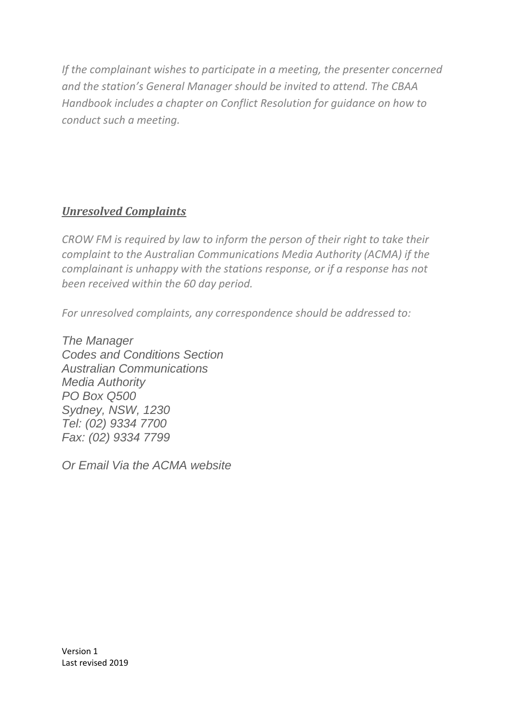*If the complainant wishes to participate in a meeting, the presenter concerned and the station's General Manager should be invited to attend. The CBAA Handbook includes a chapter on Conflict Resolution for guidance on how to conduct such a meeting.*

# *Unresolved Complaints*

*CROW FM is required by law to inform the person of their right to take their complaint to the Australian Communications Media Authority (ACMA) if the complainant is unhappy with the stations response, or if a response has not been received within the 60 day period.*

*For unresolved complaints, any correspondence should be addressed to:*

*The Manager Codes and Conditions Section Australian Communications Media Authority PO Box Q500 Sydney, NSW, 1230 Tel: (02) 9334 7700 Fax: (02) 9334 7799*

*Or Email Via the ACMA website*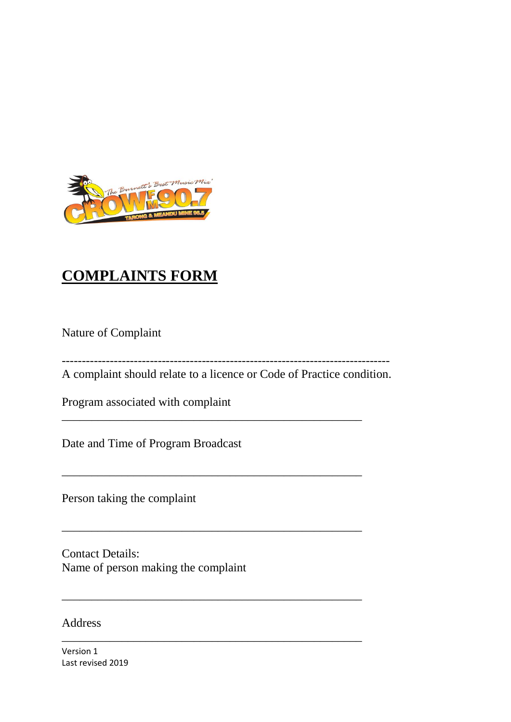

# **COMPLAINTS FORM**

Nature of Complaint

----------------------------------------------------------------------------------

A complaint should relate to a licence or Code of Practice condition.

\_\_\_\_\_\_\_\_\_\_\_\_\_\_\_\_\_\_\_\_\_\_\_\_\_\_\_\_\_\_\_\_\_\_\_\_\_\_\_\_\_\_\_\_\_\_\_\_\_\_

\_\_\_\_\_\_\_\_\_\_\_\_\_\_\_\_\_\_\_\_\_\_\_\_\_\_\_\_\_\_\_\_\_\_\_\_\_\_\_\_\_\_\_\_\_\_\_\_\_\_

\_\_\_\_\_\_\_\_\_\_\_\_\_\_\_\_\_\_\_\_\_\_\_\_\_\_\_\_\_\_\_\_\_\_\_\_\_\_\_\_\_\_\_\_\_\_\_\_\_\_

\_\_\_\_\_\_\_\_\_\_\_\_\_\_\_\_\_\_\_\_\_\_\_\_\_\_\_\_\_\_\_\_\_\_\_\_\_\_\_\_\_\_\_\_\_\_\_\_\_\_

\_\_\_\_\_\_\_\_\_\_\_\_\_\_\_\_\_\_\_\_\_\_\_\_\_\_\_\_\_\_\_\_\_\_\_\_\_\_\_\_\_\_\_\_\_\_\_\_\_\_

Program associated with complaint

Date and Time of Program Broadcast

Person taking the complaint

Contact Details: Name of person making the complaint

#### Address

Version 1 Last revised 2019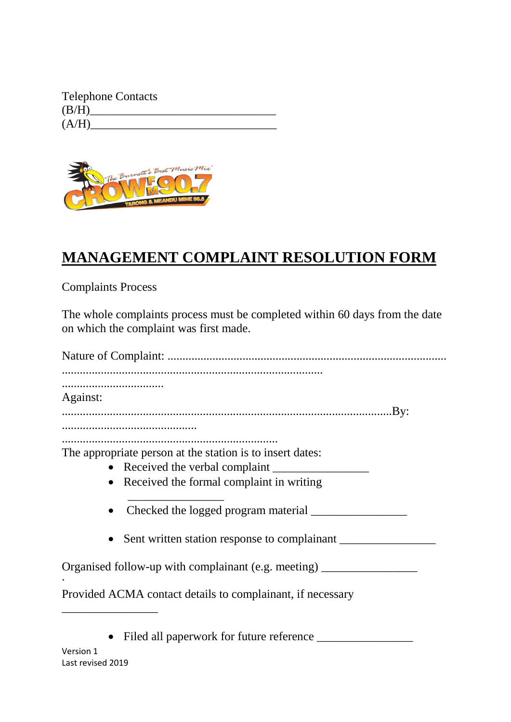| <b>Telephone Contacts</b> |  |
|---------------------------|--|
| (B/H)                     |  |
| (A/H)                     |  |



# **MANAGEMENT COMPLAINT RESOLUTION FORM**

Complaints Process

The whole complaints process must be completed within 60 days from the date on which the complaint was first made.

Version 1 Nature of Complaint: ............................................................................................. ....................................................................................... .................................. Against: ..............................................................................................................By: ............................................. ........................................................................ The appropriate person at the station is to insert dates: • Received the verbal complaint • Received the formal complaint in writing  $\frac{1}{\sqrt{2}}$  ,  $\frac{1}{\sqrt{2}}$  ,  $\frac{1}{\sqrt{2}}$  ,  $\frac{1}{\sqrt{2}}$  ,  $\frac{1}{\sqrt{2}}$  ,  $\frac{1}{\sqrt{2}}$  ,  $\frac{1}{\sqrt{2}}$  ,  $\frac{1}{\sqrt{2}}$  ,  $\frac{1}{\sqrt{2}}$  ,  $\frac{1}{\sqrt{2}}$  ,  $\frac{1}{\sqrt{2}}$  ,  $\frac{1}{\sqrt{2}}$  ,  $\frac{1}{\sqrt{2}}$  ,  $\frac{1}{\sqrt{2}}$  ,  $\frac{1}{\sqrt{2}}$  Checked the logged program material \_\_\_\_\_\_\_\_\_\_\_\_\_\_\_\_ • Sent written station response to complainant Organised follow-up with complainant (e.g. meeting) · Provided ACMA contact details to complainant, if necessary \_\_\_\_\_\_\_\_\_\_\_\_\_\_\_\_ • Filed all paperwork for future reference

Last revised 2019